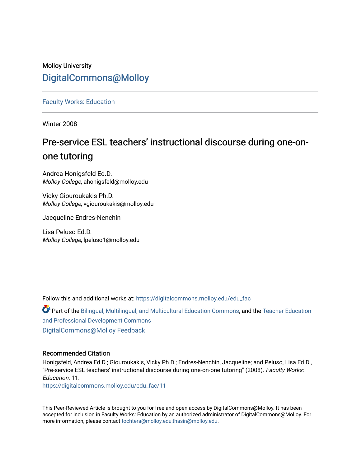# Molloy University [DigitalCommons@Molloy](https://digitalcommons.molloy.edu/)

[Faculty Works: Education](https://digitalcommons.molloy.edu/edu_fac) 

Winter 2008

# Pre-service ESL teachers' instructional discourse during one-onone tutoring

Andrea Honigsfeld Ed.D. Molloy College, ahonigsfeld@molloy.edu

Vicky Giouroukakis Ph.D. Molloy College, vgiouroukakis@molloy.edu

Jacqueline Endres-Nenchin

Lisa Peluso Ed.D. Molloy College, lpeluso1@molloy.edu

Follow this and additional works at: [https://digitalcommons.molloy.edu/edu\\_fac](https://digitalcommons.molloy.edu/edu_fac?utm_source=digitalcommons.molloy.edu%2Fedu_fac%2F11&utm_medium=PDF&utm_campaign=PDFCoverPages)

Part of the [Bilingual, Multilingual, and Multicultural Education Commons,](https://network.bepress.com/hgg/discipline/785?utm_source=digitalcommons.molloy.edu%2Fedu_fac%2F11&utm_medium=PDF&utm_campaign=PDFCoverPages) and the [Teacher Education](https://network.bepress.com/hgg/discipline/803?utm_source=digitalcommons.molloy.edu%2Fedu_fac%2F11&utm_medium=PDF&utm_campaign=PDFCoverPages) [and Professional Development Commons](https://network.bepress.com/hgg/discipline/803?utm_source=digitalcommons.molloy.edu%2Fedu_fac%2F11&utm_medium=PDF&utm_campaign=PDFCoverPages) [DigitalCommons@Molloy Feedback](https://molloy.libwizard.com/f/dcfeedback)

# Recommended Citation

Honigsfeld, Andrea Ed.D.; Giouroukakis, Vicky Ph.D.; Endres-Nenchin, Jacqueline; and Peluso, Lisa Ed.D., "Pre-service ESL teachers' instructional discourse during one-on-one tutoring" (2008). Faculty Works: Education. 11.

[https://digitalcommons.molloy.edu/edu\\_fac/11](https://digitalcommons.molloy.edu/edu_fac/11?utm_source=digitalcommons.molloy.edu%2Fedu_fac%2F11&utm_medium=PDF&utm_campaign=PDFCoverPages) 

This Peer-Reviewed Article is brought to you for free and open access by DigitalCommons@Molloy. It has been accepted for inclusion in Faculty Works: Education by an authorized administrator of DigitalCommons@Molloy. For more information, please contact [tochtera@molloy.edu,thasin@molloy.edu.](mailto:tochtera@molloy.edu,thasin@molloy.edu)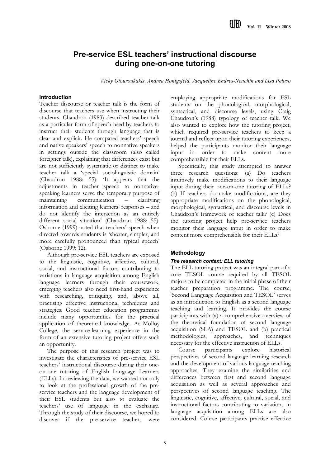# **Pre-service ESL teachers' instructional discourse during one-on-one tutoring**

*Vicky Giouroukakis, Andrea Honigsfeld, Jacqueline Endres-Nenchin and Lisa Peluso*

# **Introduction**

Teacher discourse or teacher talk is the form of discourse that teachers use when instructing their students. Chaudron (1983) described teacher talk as a particular form of speech used by teachers to instruct their students through language that is clear and explicit. He compared teachers' speech and native speakers' speech to nonnative speakers in settings outside the classroom (also called foreigner talk), explaining that differences exist but are not sufficiently systematic or distinct to make teacher talk a 'special sociolinguistic domain' (Chaudron 1988: 55): 'It appears that the adjustments in teacher speech to nonnativespeaking learners serve the temporary purpose of maintaining communication – clarifying information and eliciting learners' responses – and do not identify the interaction as an entirely different social situation' (Chaudron 1988: 55). Osborne (1999) noted that teachers' speech when directed towards students is 'shorter, simpler, and more carefully pronounced than typical speech' (Osborne 1999: 12).

Although pre-service ESL teachers are exposed to the linguistic, cognitive, affective, cultural, social, and instructional factors contributing to variations in language acquisition among English language learners through their coursework, emerging teachers also need first-hand experience with researching, critiquing, and, above all, practising effective instructional techniques and strategies. Good teacher education programmes include many opportunities for the practical application of theoretical knowledge. At Molloy College, the service-learning experience in the form of an extensive tutoring project offers such an opportunity.

The purpose of this research project was to investigate the characteristics of pre-service ESL teachers' instructional discourse during their oneon-one tutoring of English Language Learners (ELLs). In reviewing the data, we wanted not only to look at the professional growth of the preservice teachers and the language development of their ESL students but also to evaluate the teachers' use of language in the exchange. Through the study of their discourse, we hoped to discover if the pre-service teachers were

employing appropriate modifications for ESL students on the phonological, morphological, syntactical, and discourse levels, using Craig Chaudron's (1988) typology of teacher talk. We also wanted to explore how the tutoring project, which required pre-service teachers to keep a journal and reflect upon their tutoring experiences, helped the participants monitor their language input in order to make content more comprehensible for their ELLs.

Specifically, this study attempted to answer three research questions: (a) Do teachers intuitively make modifications to their language input during their one-on-one tutoring of ELLs? (b) If teachers do make modifications, are they appropriate modifications on the phonological, morphological, syntactical, and discourse levels in Chaudron's framework of teacher talk? (c) Does the tutoring project help pre-service teachers monitor their language input in order to make content more comprehensible for their ELLs?

# **Methodology**

# *The research context: ELL tutoring*

The ELL tutoring project was an integral part of a core TESOL course required by all TESOL majors to be completed in the initial phase of their teacher preparation programme. The course, 'Second Language Acquisition and TESOL' serves as an introduction to English as a second language teaching and learning. It provides the course participants with (a) a comprehensive overview of the theoretical foundation of second language acquisition (SLA) and TESOL and (b) practical methodologies, approaches, and techniques necessary for the effective instruction of ELLs.

Course participants explore historical perspectives of second language learning research and the development of various language teaching approaches. They examine the similarities and differences between first and second language acquisition as well as several approaches and perspectives of second language teaching. The linguistic, cognitive, affective, cultural, social, and instructional factors contributing to variations in language acquisition among ELLs are also considered. Course participants practise effective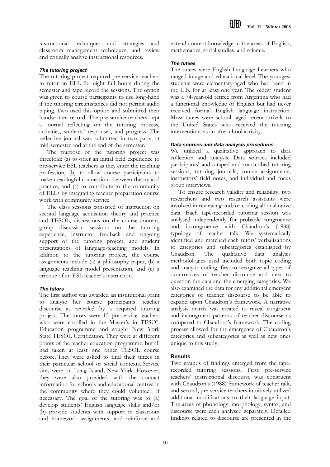instructional techniques and strategies and classroom management techniques, and review and critically analyse instructional resources.

# *The tutoring project*

The tutoring project required pre-service teachers to tutor an ELL for eight full hours during the semester and tape record the sessions. The option was given to course participants to use long-hand if the tutoring circumstances did not permit audio taping. Two used this option and submitted their handwritten record. The pre-service teachers kept a journal reflecting on the tutoring process, activities, students' responses, and progress. The reflective journal was submitted in two parts, at mid-semester and at the end of the semester.

The purpose of the tutoring project was threefold: (a) to offer an initial field experience to pre-service ESL teachers as they enter the teaching profession, (b) to allow course participants to make meaningful connections between theory and practice, and (c) to contribute to the community of ELLs by integrating teacher preparation course work with community service.

The class sessions consisted of instruction on second language acquisition theory and practice and TESOL, discussions on the course content, group discussion sessions on the tutoring experience, instructor feedback and ongoing support of the tutoring project, and student presentations of language-teaching models. In addition to the tutoring project, the course assignments include (a) a philosophy paper, (b) a language teaching model presentation, and (c) a critique of an ESL teacher's instruction.

# *The tutors*

The first author was awarded an institutional grant to analyse her course participants' teacher discourse as revealed by a required tutoring project. The tutors were 15 pre-service teachers who were enrolled in the Master's in TESOL Education programme and sought New York State TESOL Certification. They were at different points of the teacher education programme, but all had taken at least one other TESOL course before. They were asked to find their tutees in their particular school or social contexts. Service sites were on Long Island, New York. However, they were also provided with the contact information for schools and educational centres in the community where they could volunteer, if necessary. The goal of the tutoring was to (a) develop students' English language skills and/or (b) provide students with support in classroom and homework assignments, and reinforce and

extend content knowledge in the areas of English, mathematics, social studies, and science.

## *The tutees*

The tutees were English Language Learners who ranged in age and educational level. The youngest students were elementary-aged who had been in the U.S. for at least one year. The oldest student was a 74-year-old retiree from Argentina who had a functional knowledge of English but had never received formal English language instruction. Most tutees were school- aged recent arrivals to the United States who received the tutoring interventions as an after-chool activity.

# *Data sources and data analysis procedures*

We utilized a qualitative approach to data collection and analysis. Data sources included participants' audio-taped and transcribed tutoring sessions, tutoring journals, course assignments, instructors' field notes, and individual and focus group interviews.

To ensure research validity and reliability, two researchers and two research assistants were involved in reviewing and/or coding all qualitative data. Each tape-recorded tutoring session was analysed independently for probable congruence and incongruence with Chaudron's (1988) typology of teacher talk. We systematically identified and matched each tutors' verbalizations to categories and subcategories established by Chaudron. The qualitative data analysis methodologies used included both topic coding and analytic coding, first to recognize all types of occurrences of teacher discourse and next to question the data and the emerging categories. We also examined the data for any additional emergent categories of teacher discourse to be able to expand upon Chaudron's framework. A narrative analysis matrix was created to reveal congruent and incongruent patterns of teacher discourse as compared to Chaudron's framework. The coding process allowed for the emergence of Chaudron's categories and subcategories as well as new ones unique to this study.

# **Results**

Two strands of findings emerged from the taperecorded tutoring sessions. First, pre-service teachers' instructional discourse was congruent with Chaudron's (1988) framework of teacher talk, and second, pre-service teachers intuitively utilized additional modifications to their language input. The areas of phonology, morphology, syntax, and discourse were each analysed separately. Detailed findings related to discourse are presented in the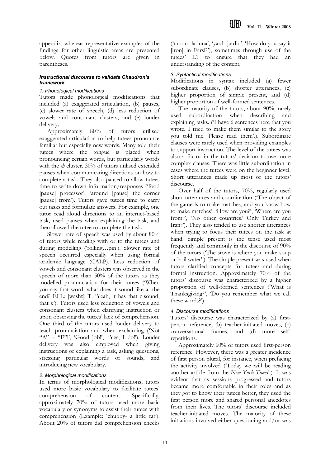appendix, whereas representative examples of the findings for other linguistic areas are presented below. Quotes from tutors are given in parentheses.

#### *Instructional discourse to validate Chaudron's framework*

#### *1. Phonological modifications*

Tutors made phonological modifications that included (a) exaggerated articulation, (b) pauses, (c) slower rate of speech, (d) less reduction of vowels and consonant clusters, and (e) louder delivery.

Approximately 80% of tutors utilised exaggerated articulation to help tutees pronounce familiar but especially new words. Many told their tutees where the tongue is placed when pronouncing certain words, but particularly words with the *th* cluster. 30% of tutors utilised extended pauses when communicating directions on how to complete a task. They also paused to allow tutees time to write down information/responses ('food [pause] processor', 'around [pause] the corner [pause] from'). Tutors gave tutees time to carry out tasks and formulate answers. For example, one tutor read aloud directions to an internet-based task, used pauses when explaining the task, and then allowed the tutee to complete the task.

Slower rate of speech was used by about 80% of tutors while reading with or to the tutees and during modelling ('rolling…pin'). Slower rate of speech occurred especially when using formal academic language (CALP). Less reduction of vowels and consonant clusters was observed in the speech of more than 50% of the tutors as they modelled pronunciation for their tutees ('When you say that word, what does it sound like at the end? ELL: [wash**t]** T: 'Yeah, it has that *t* sound, that *t*.'). Tutors used less reduction of vowels and consonant clusters when clarifying instruction or upon observing the tutees' lack of comprehension. One third of the tutors used louder delivery to teach pronunciation and when exclaiming ('Not " $A$ " – "E"!', 'Good job!', 'Yes, I do!'). Louder delivery was also employed when giving instructions or explaining a task, asking questions, stressing particular words or sounds, and introducing new vocabulary.

# *2. Morphological modifications*

In terms of morphological modifications, tutors used more basic vocabulary to facilitate tutees' comprehension of content. Specifically, approximately 70% of tutors used more basic vocabulary or synonyms to assist their tutees with comprehension (Example: 'chubby- a little fat'). About 20% of tutors did comprehension checks

('moon- la luna', 'yard- jardin', 'How do you say it [iron] in Farsi?'), sometimes through use of the tutees' L1 to ensure that they had an understanding of the content.

# *3. Syntactical modifications*

Modifications in syntax included (a) fewer subordinate clauses, (b) shorter utterances, (c) higher proportion of simple present, and (d) higher proportion of well-formed sentences.

The majority of the tutors, about 90%, rarely used subordination when describing and explaining tasks. ('I have 6 sentences here that you wrote. I tried to make them similar to the story you told me. Please read them'.). Subordinate clauses were rarely used when providing examples to support instruction. The level of the tutees was also a factor in the tutors' decision to use more complex clauses. There was little subordination in cases where the tutees were on the beginner level. Short utterances made up most of the tutors' discourse.

Over half of the tutors, 70%, regularly used short utterances and coordination ('The object of the game is to make matches, and you know how to make matches'. 'How are you?', 'Where are you from?', 'No other countries? Only Turkey and Iran?'). They also tended to use shorter utterances when trying to focus their tutees on the task at hand. Simple present is the tense used most frequently and commonly in the discourse of 90% of the tutors ('The stove is where you make soup or boil water'.). The simple present was used when tutors clarified concepts for tutees and during formal instruction. Approximately 70% of the tutors' discourse was characterized by a higher proportion of well-formed sentences ('What is Thanksgiving?', 'Do you remember what we call these words?').

# *4. Discourse modifications*

Tutors' discourse was characterized by (a) firstperson reference, (b) teacher-initiated moves, (c) conversational frames, and (d) more selfrepetitions.

Approximately 60% of tutors used first-person reference. However, there was a greater incidence of first person plural, for instance, when prefacing the activity involved ('Today we will be reading another article from the *New York Times*'.). It was evident that as sessions progressed and tutors became more comfortable in their roles and as they got to know their tutees better, they used the first person more and shared personal anecdotes from their lives. The tutors' discourse included teacher-initiated moves. The majority of these initiations involved either questioning and/or was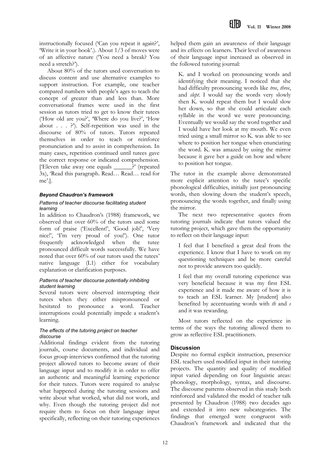instructionally focused ('Can you repeat it again?', 'Write it in your book'.). About 1/3 of moves were of an affective nature ('You need a break? You need a stretch?').

About 80% of the tutors used conversation to discuss content and use alternative examples to support instruction. For example, one teacher compared numbers with people's ages to teach the concept of greater than and less than. More conversational frames were used in the first session as tutors tried to get to know their tutees ('How old are you?', 'Where do you live?', 'How about . . . ?'). Self-repetition was used in the discourse of 80% of tutors. Tutors repeated themselves in order to teach or reinforce pronunciation and to assist in comprehension. In many cases, repetition continued until tutees gave the correct response or indicated comprehension. ['Eleven take away one equals \_\_\_\_\_\_?' (repeated 3x), 'Read this paragraph. Read… Read… read for me'.].

# *Beyond Chaudron's framework*

#### *Patterns of teacher discourse facilitating student learning*

In addition to Chaudron's (1988) framework, we observed that over 60% of the tutors used some form of praise ('Excellent!', 'Good job!', 'Very nice!', 'I'm very proud of you!'). One tutor frequently acknowledged when the tutee pronounced difficult words successfully. We have noted that over 60% of our tutors used the tutees' native language (L1) either for vocabulary explanation or clarification purposes.

#### *Patterns of teacher discourse potentially inhibiting student learning*

Several tutors were observed interrupting their tutees when they either mispronounced or hesitated to pronounce a word. Teacher interruptions could potentially impede a student's learning.

#### *The effects of the tutoring project on teacher discourse*

Additional findings evident from the tutoring journals, course documents, and individual and focus group interviews confirmed that the tutoring project allowed tutors to become aware of their language input and to modify it in order to offer an authentic and meaningful learning experience for their tutees. Tutors were required to analyse what happened during the tutoring sessions and write about what worked, what did not work, and why. Even though the tutoring project did not require them to focus on their language input specifically, reflecting on their tutoring experiences

helped them gain an awareness of their language and its effects on learners. Their level of awareness of their language input increased as observed in the followed tutoring journal:

K. and I worked on pronouncing words and identifying their meaning. I noticed that she had difficulty pronouncing words like *tree*, *three*, and *slept*. I would say the words very slowly then K. would repeat them but I would slow her down, so that she could articulate each syllable in the word we were pronouncing. Eventually we would say the word together and I would have her look at my mouth. We even tried using a small mirror so K. was able to see where to position her tongue when enunciating the word. K. was amazed by using the mirror because it gave her a guide on how and where to position her tongue.

The tutor in the example above demonstrated more explicit attention to the tutee's specific phonological difficulties, initially just pronouncing words, then slowing down the student's speech, pronouncing the words together, and finally using the mirror.

The next two representative quotes from tutoring journals indicate that tutors valued the tutoring project, which gave them the opportunity to reflect on their language input:

I feel that I benefited a great deal from the experience. I know that I have to work on my questioning techniques and be more careful not to provide answers too quickly.

I feel that my overall tutoring experience was very beneficial because it was my first ESL experience and it made me aware of how it is to teach an ESL learner. My [student] also benefited by accentuating words with *th* and *s* and it was rewarding.

Most tutors reflected on the experience in terms of the ways the tutoring allowed them to grow as reflective ESL practitioners.

# **Discussion**

Despite no formal explicit instruction, preservice ESL teachers used modified input in their tutoring projects. The quantity and quality of modified input varied depending on four linguistic areas: phonology, morphology, syntax, and discourse. The discourse patterns observed in this study both reinforced and validated the model of teacher talk presented by Chaudron (1988) two decades ago and extended it into new subcategories. The findings that emerged were congruent with Chaudron's framework and indicated that the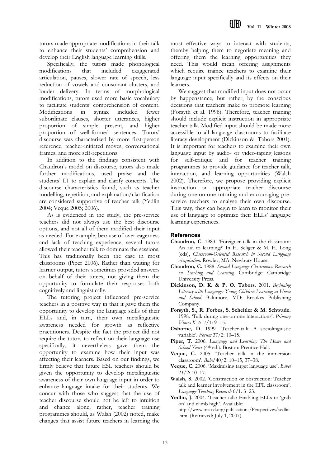tutors made appropriate modifications in their talk to enhance their students' comprehension and develop their English language learning skills.

Specifically, the tutors made phonological modifications that included exaggerated articulation, pauses, slower rate of speech, less reduction of vowels and consonant clusters, and louder delivery. In terms of morphological modifications, tutors used more basic vocabulary to facilitate students' comprehension of content. Modifications in syntax included fewer subordinate clauses, shorter utterances, higher proportion of simple present, and higher proportion of well-formed sentences. Tutors' discourse was characterized by more first-person reference, teacher-initiated moves, conversational frames, and more self-repetitions.

In addition to the findings consistent with Chaudron's model on discourse, tutors also made further modifications, used praise and the students' L1 to explain and clarify concepts. The discourse characteristics found, such as teacher modelling, repetition, and explanation/clarification are considered supportive of teacher talk (Yedlin 2004; Veque 2005; 2006).

As is evidenced in the study, the pre-service teachers did not always use the best discourse options, and not all of them modified their input as needed. For example, because of over-eagerness and lack of teaching experience, several tutors allowed their teacher talk to dominate the sessions. This has traditionally been the case in most classrooms (Piper 2006). Rather than waiting for learner output, tutors sometimes provided answers on behalf of their tutees, not giving them the opportunity to formulate their responses both cognitively and linguistically.

The tutoring project influenced pre-service teachers in a positive way in that it gave them the opportunity to develop the language skills of their ELLs and, in turn, their own metalinguistic awareness needed for growth as reflective practitioners. Despite the fact the project did not require the tutors to reflect on their language use specifically, it nevertheless gave them the opportunity to examine how their input was affecting their learners. Based on our findings, we firmly believe that future ESL teachers should be given the opportunity to develop metalinguistic awareness of their own language input in order to enhance language intake for their students. We concur with those who suggest that the use of teacher discourse should not be left to intuition and chance alone; rather, teacher training programmes should, as Walsh (2002) noted, make changes that assist future teachers in learning the

most effective ways to interact with students, thereby helping them to negotiate meaning and offering them the learning opportunities they need. This would mean offering assignments which require trainee teachers to examine their language input specifically and its effects on their learners.

We suggest that modified input does not occur by happenstance, but rather, by the conscious decisions that teachers make to promote learning (Forsyth et al. 1998). Therefore, teacher training should include explicit instruction in appropriate teacher talk. Modified input should be made more accessible to all language classrooms to facilitate literacy development (Dickinson & Tabors 2001). It is important for teachers to examine their own language input by audio- or video-taping lessons for self-critique and for teacher training programmes to provide guidance for teacher talk, interaction, and learning opportunities (Walsh 2002). Therefore, we propose providing explicit instruction on appropriate teacher discourse during one-on-one tutoring and encouraging preservice teachers to analyse their own discourse. This way, they can begin to learn to monitor their use of language to optimize their ELLs' language learning experiences.

# **References**

- **Chaudron, C.** 1983. 'Foreigner talk in the classroom: An aid to learning?' In H. Seliger & M. H. Long (eds), *Classroom-Oriented Research in Second Language Acquisition*. Rowley, MA: Newbury House.
- **Chaudron, C.** 1988. *Second Language Classrooms: Research on Teaching and Learning.* Cambridge: Cambridge University Press.
- **Dickinson, D. K. & P. O. Tabors**. 2001. *Beginning Literacy with Language: Young Children Learning at Home and School*. Baltimore, MD: Brookes Publishing Company.
- **Forsyth, S., R. Forbes, S. Scheitler & M. Schwade.** 1998. 'Talk during one-on-one interactions'. *Primary Voices K–6* 7/1: 9–15.
- **Osborne, D.** 1999. 'Teacher-talk: A sociolinguistic variable'. *Forum* 37/2: 10–15.
- **Piper, T.** 2006*. Language and Learning: The Home and School Years* (4th ed.). Boston: Prentice Hall.
- **Veque, C.** 2005. 'Teacher talk in the immersion classroom'. *Babel* 40/2: 10–15, 37–38.
- **Veque, C.** 2006. 'Maximising target language use'. *Babel 41/*2: 10–17.
- **Walsh, S.** 2002. 'Construction or obstruction: Teacher talk and learner involvement in the EFL classroom'. *Language Teaching Research* 6/1: 3–23.
- Yedlin, J. 2004. 'Teacher talk: Enabling ELLs to 'grab on' and climb high'*.* Available:

http://www.mascd.org/publications/Perspectives/yedlin .htm. (Retrieved: July 1, 2007).